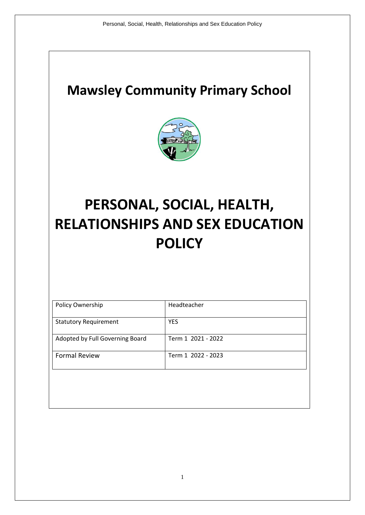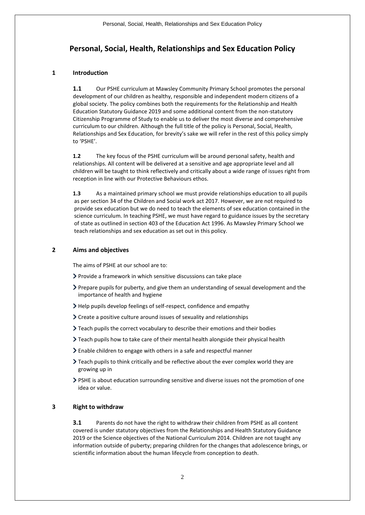# **Personal, Social, Health, Relationships and Sex Education Policy**

# **1 Introduction**

**1.1** Our PSHE curriculum at Mawsley Community Primary School promotes the personal development of our children as healthy, responsible and independent modern citizens of a global society. The policy combines both the requirements for the Relationship and Health Education Statutory Guidance 2019 and some additional content from the non-statutory Citizenship Programme of Study to enable us to deliver the most diverse and comprehensive curriculum to our children. Although the full title of the policy is Personal, Social, Health, Relationships and Sex Education, for brevity's sake we will refer in the rest of this policy simply to 'PSHE'.

**1.2** The key focus of the PSHE curriculum will be around personal safety, health and relationships. All content will be delivered at a sensitive and age appropriate level and all children will be taught to think reflectively and critically about a wide range of issues right from reception in line with our Protective Behaviours ethos.

**1.3** As a maintained primary school we must provide relationships education to all pupils as per section 34 of the Children and Social work act 2017. However, we are not required to provide sex education but we do need to teach the elements of sex education contained in the science curriculum. In teaching PSHE, we must have regard to guidance issues by the secretary of state as outlined in section 403 of the Education Act 1996. As Mawsley Primary School we teach relationships and sex education as set out in this policy.

# **2 Aims and objectives**

The aims of PSHE at our school are to:

- Provide a framework in which sensitive discussions can take place
- Prepare pupils for puberty, and give them an understanding of sexual development and the importance of health and hygiene
- Help pupils develop feelings of self-respect, confidence and empathy
- Create a positive culture around issues of sexuality and relationships
- Teach pupils the correct vocabulary to describe their emotions and their bodies
- $\sum$  Teach pupils how to take care of their mental health alongside their physical health
- Enable children to engage with others in a safe and respectful manner
- Teach pupils to think critically and be reflective about the ever complex world they are growing up in
- PSHE is about education surrounding sensitive and diverse issues not the promotion of one idea or value.

# **3 Right to withdraw**

**3.1** Parents do not have the right to withdraw their children from PSHE as all content covered is under statutory objectives from the Relationships and Health Statutory Guidance 2019 or the Science objectives of the National Curriculum 2014. Children are not taught any information outside of puberty; preparing children for the changes that adolescence brings, or scientific information about the human lifecycle from conception to death.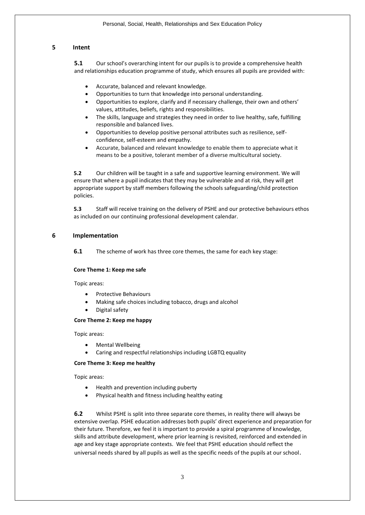## **5 Intent**

**5.1** Our school's overarching intent for our pupils is to provide a comprehensive health and relationships education programme of study, which ensures all pupils are provided with:

- Accurate, balanced and relevant knowledge.
- Opportunities to turn that knowledge into personal understanding.
- Opportunities to explore, clarify and if necessary challenge, their own and others' values, attitudes, beliefs, rights and responsibilities.
- The skills, language and strategies they need in order to live healthy, safe, fulfilling responsible and balanced lives.
- Opportunities to develop positive personal attributes such as resilience, selfconfidence, self-esteem and empathy.
- Accurate, balanced and relevant knowledge to enable them to appreciate what it means to be a positive, tolerant member of a diverse multicultural society.

**5.2** Our children will be taught in a safe and supportive learning environment. We will ensure that where a pupil indicates that they may be vulnerable and at risk, they will get appropriate support by staff members following the schools safeguarding/child protection policies.

**5.3** Staff will receive training on the delivery of PSHE and our protective behaviours ethos as included on our continuing professional development calendar.

### **6 Implementation**

**6.1** The scheme of work has three core themes, the same for each key stage:

#### **Core Theme 1: Keep me safe**

Topic areas:

- Protective Behaviours
- Making safe choices including tobacco, drugs and alcohol
- Digital safety

#### **Core Theme 2: Keep me happy**

Topic areas:

- Mental Wellbeing
- Caring and respectful relationships including LGBTQ equality

#### **Core Theme 3: Keep me healthy**

Topic areas:

- Health and prevention including puberty
- Physical health and fitness including healthy eating

**6.2** Whilst PSHE is split into three separate core themes, in reality there will always be extensive overlap. PSHE education addresses both pupils' direct experience and preparation for their future. Therefore, we feel it is important to provide a spiral programme of knowledge, skills and attribute development, where prior learning is revisited, reinforced and extended in age and key stage appropriate contexts. We feel that PSHE education should reflect the universal needs shared by all pupils as well as the specific needs of the pupils at our school.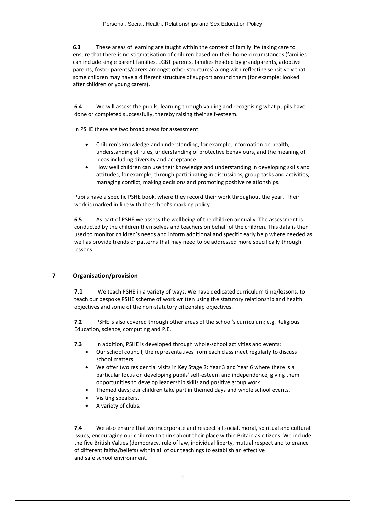**6.3** These areas of learning are taught within the context of family life taking care to ensure that there is no stigmatisation of children based on their home circumstances (families can include single parent families, LGBT parents, families headed by grandparents, adoptive parents, foster parents/carers amongst other structures) along with reflecting sensitively that some children may have a different structure of support around them (for example: looked after children or young carers).

**6.4** We will assess the pupils; learning through valuing and recognising what pupils have done or completed successfully, thereby raising their self-esteem.

In PSHE there are two broad areas for assessment:

- Children's knowledge and understanding; for example, information on health, understanding of rules, understanding of protective behaviours, and the meaning of ideas including diversity and acceptance.
- How well children can use their knowledge and understanding in developing skills and attitudes; for example, through participating in discussions, group tasks and activities, managing conflict, making decisions and promoting positive relationships.

Pupils have a specific PSHE book, where they record their work throughout the year. Their work is marked in line with the school's marking policy.

**6.5** As part of PSHE we assess the wellbeing of the children annually. The assessment is conducted by the children themselves and teachers on behalf of the children. This data is then used to monitor children's needs and inform additional and specific early help where needed as well as provide trends or patterns that may need to be addressed more specifically through lessons.

# **7 Organisation/provision**

**7.1** We teach PSHE in a variety of ways. We have dedicated curriculum time/lessons, to teach our bespoke PSHE scheme of work written using the statutory relationship and health objectives and some of the non-statutory citizenship objectives.

**7.2** PSHE is also covered through other areas of the school's curriculum; e.g. Religious Education, science, computing and P.E.

**7.3** In addition, PSHE is developed through whole-school activities and events:

- Our school council; the representatives from each class meet regularly to discuss school matters.
- We offer two residential visits in Key Stage 2: Year 3 and Year 6 where there is a particular focus on developing pupils' self-esteem and independence, giving them opportunities to develop leadership skills and positive group work.
- Themed days; our children take part in themed days and whole school events.
- Visiting speakers.
- A variety of clubs.

**7.4** We also ensure that we incorporate and respect all social, moral, spiritual and cultural issues, encouraging our children to think about their place within Britain as citizens. We include the five British Values (democracy, rule of law, individual liberty, mutual respect and tolerance of different faiths/beliefs) within all of our teachings to establish an effective and safe school environment.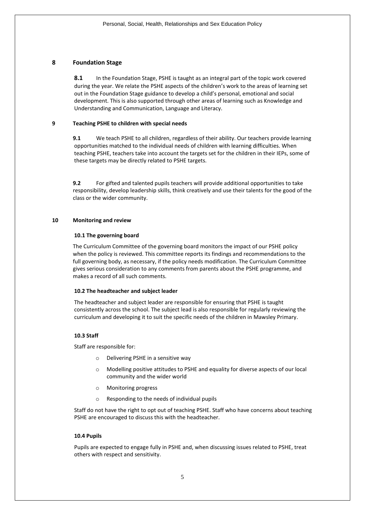# **8 Foundation Stage**

**8.1** In the Foundation Stage, PSHE is taught as an integral part of the topic work covered during the year. We relate the PSHE aspects of the children's work to the areas of learning set out in the Foundation Stage guidance to develop a child's personal, emotional and social development. This is also supported through other areas of learning such as Knowledge and Understanding and Communication, Language and Literacy.

#### **9 Teaching PSHE to children with special needs**

**9.1** We teach PSHE to all children, regardless of their ability. Our teachers provide learning opportunities matched to the individual needs of children with learning difficulties. When teaching PSHE, teachers take into account the targets set for the children in their IEPs, some of these targets may be directly related to PSHE targets.

**9.2** For gifted and talented pupils teachers will provide additional opportunities to take responsibility, develop leadership skills, think creatively and use their talents for the good of the class or the wider community.

### **10 Monitoring and review**

### **10.1 The governing board**

The Curriculum Committee of the governing board monitors the impact of our PSHE policy when the policy is reviewed. This committee reports its findings and recommendations to the full governing body, as necessary, if the policy needs modification. The Curriculum Committee gives serious consideration to any comments from parents about the PSHE programme, and makes a record of all such comments.

#### **10.2 The headteacher and subject leader**

The headteacher and subject leader are responsible for ensuring that PSHE is taught consistently across the school. The subject lead is also responsible for regularly reviewing the curriculum and developing it to suit the specific needs of the children in Mawsley Primary.

# **10.3 Staff**

Staff are responsible for:

- o Delivering PSHE in a sensitive way
- o Modelling positive attitudes to PSHE and equality for diverse aspects of our local community and the wider world
- o Monitoring progress
- o Responding to the needs of individual pupils

Staff do not have the right to opt out of teaching PSHE. Staff who have concerns about teaching PSHE are encouraged to discuss this with the headteacher.

# **10.4 Pupils**

Pupils are expected to engage fully in PSHE and, when discussing issues related to PSHE, treat others with respect and sensitivity.